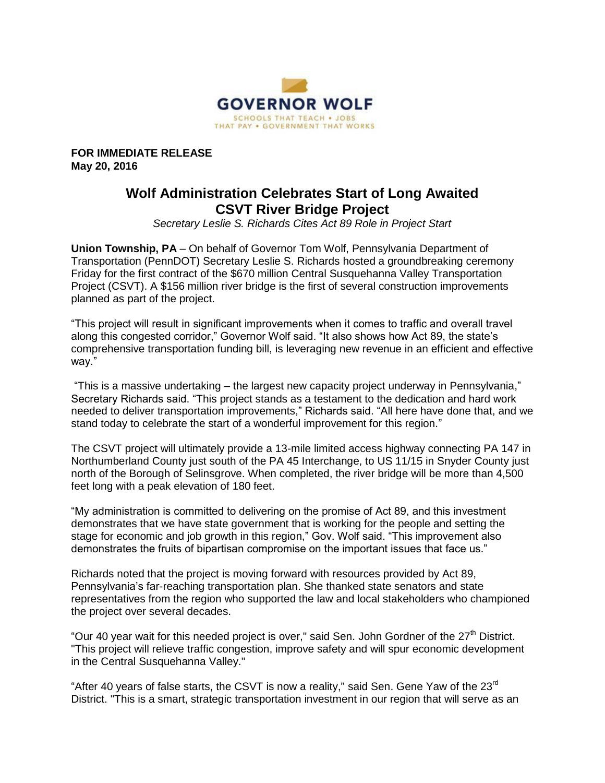

**FOR IMMEDIATE RELEASE May 20, 2016**

## **Wolf Administration Celebrates Start of Long Awaited CSVT River Bridge Project**

*Secretary Leslie S. Richards Cites Act 89 Role in Project Start*

**Union Township, PA** – On behalf of Governor Tom Wolf, Pennsylvania Department of Transportation (PennDOT) Secretary Leslie S. Richards hosted a groundbreaking ceremony Friday for the first contract of the \$670 million Central Susquehanna Valley Transportation Project (CSVT). A \$156 million river bridge is the first of several construction improvements planned as part of the project.

"This project will result in significant improvements when it comes to traffic and overall travel along this congested corridor," Governor Wolf said. "It also shows how Act 89, the state's comprehensive transportation funding bill, is leveraging new revenue in an efficient and effective way."

"This is a massive undertaking – the largest new capacity project underway in Pennsylvania," Secretary Richards said. "This project stands as a testament to the dedication and hard work needed to deliver transportation improvements," Richards said. "All here have done that, and we stand today to celebrate the start of a wonderful improvement for this region."

The CSVT project will ultimately provide a 13-mile limited access highway connecting PA 147 in Northumberland County just south of the PA 45 Interchange, to US 11/15 in Snyder County just north of the Borough of Selinsgrove. When completed, the river bridge will be more than 4,500 feet long with a peak elevation of 180 feet.

"My administration is committed to delivering on the promise of Act 89, and this investment demonstrates that we have state government that is working for the people and setting the stage for economic and job growth in this region," Gov. Wolf said. "This improvement also demonstrates the fruits of bipartisan compromise on the important issues that face us."

Richards noted that the project is moving forward with resources provided by Act 89, Pennsylvania's far-reaching transportation plan. She thanked state senators and state representatives from the region who supported the law and local stakeholders who championed the project over several decades.

"Our 40 year wait for this needed project is over," said Sen. John Gordner of the  $27<sup>th</sup>$  District. "This project will relieve traffic congestion, improve safety and will spur economic development in the Central Susquehanna Valley."

"After 40 years of false starts, the CSVT is now a reality," said Sen. Gene Yaw of the 23<sup>rd</sup> District. "This is a smart, strategic transportation investment in our region that will serve as an